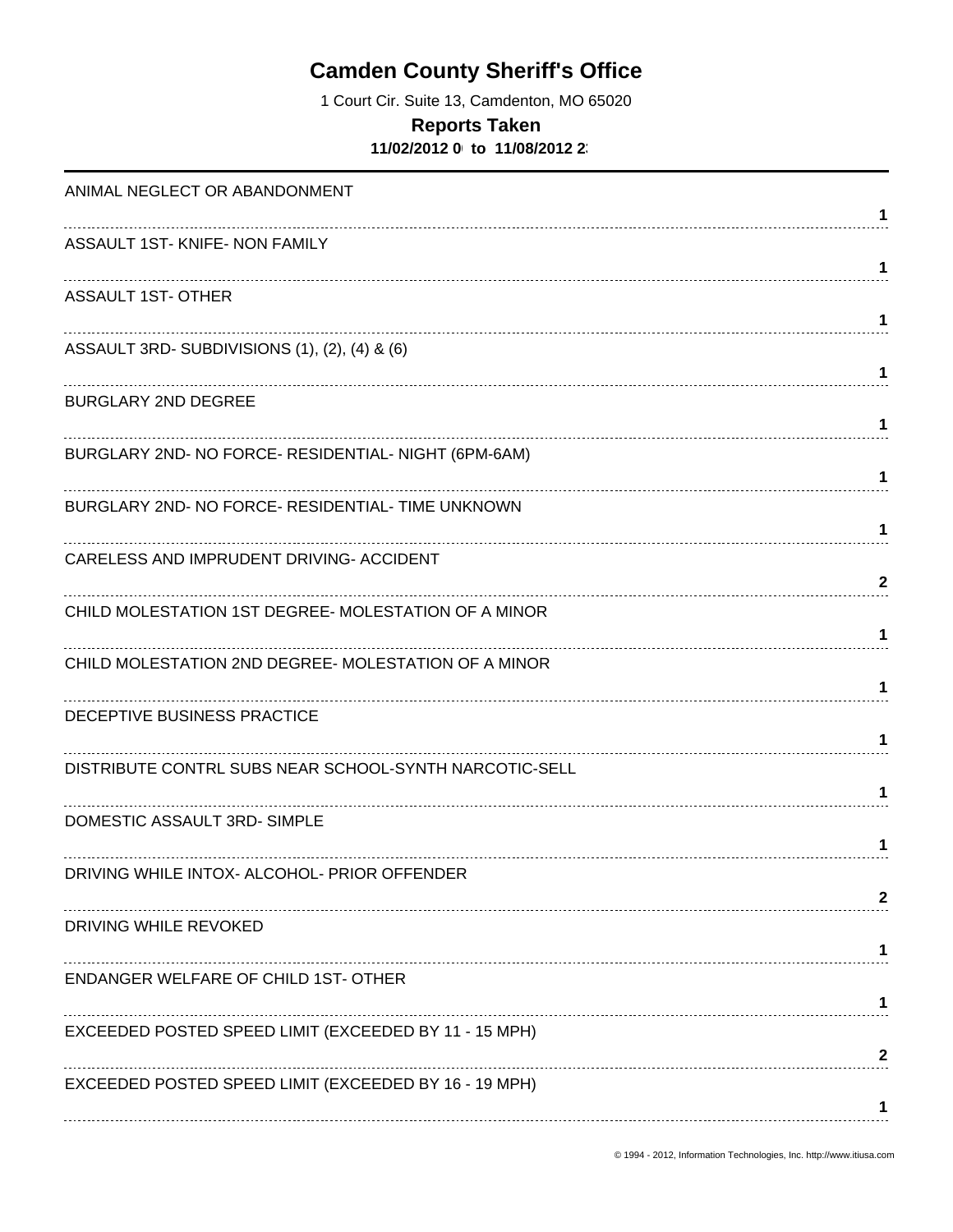# **Camden County Sheriff's Office**

1 Court Cir. Suite 13, Camdenton, MO 65020

#### **Reports Taken**

**11/02/2012 0 to 11/08/2012 23** 

| ANIMAL NEGLECT OR ABANDONMENT                          | 1            |
|--------------------------------------------------------|--------------|
| ASSAULT 1ST- KNIFE- NON FAMILY                         | 1            |
| <b>ASSAULT 1ST- OTHER</b>                              | 1            |
| ASSAULT 3RD-SUBDIVISIONS (1), (2), (4) & (6)           | 1            |
| <b>BURGLARY 2ND DEGREE</b>                             | 1            |
| BURGLARY 2ND- NO FORCE- RESIDENTIAL- NIGHT (6PM-6AM)   | 1            |
| BURGLARY 2ND- NO FORCE- RESIDENTIAL- TIME UNKNOWN      | 1            |
| CARELESS AND IMPRUDENT DRIVING- ACCIDENT               | 2            |
| CHILD MOLESTATION 1ST DEGREE- MOLESTATION OF A MINOR   | 1            |
| CHILD MOLESTATION 2ND DEGREE- MOLESTATION OF A MINOR   | 1            |
| DECEPTIVE BUSINESS PRACTICE                            |              |
| DISTRIBUTE CONTRL SUBS NEAR SCHOOL-SYNTH NARCOTIC-SELL | 1            |
| DOMESTIC ASSAULT 3RD-SIMPLE                            | 1            |
| DRIVING WHILE INTOX- ALCOHOL- PRIOR OFFENDER           | 2            |
| DRIVING WHILE REVOKED                                  |              |
| <b>ENDANGER WELFARE OF CHILD 1ST- OTHER</b>            |              |
| EXCEEDED POSTED SPEED LIMIT (EXCEEDED BY 11 - 15 MPH)  | $\mathbf{2}$ |
| EXCEEDED POSTED SPEED LIMIT (EXCEEDED BY 16 - 19 MPH)  | 1            |
|                                                        |              |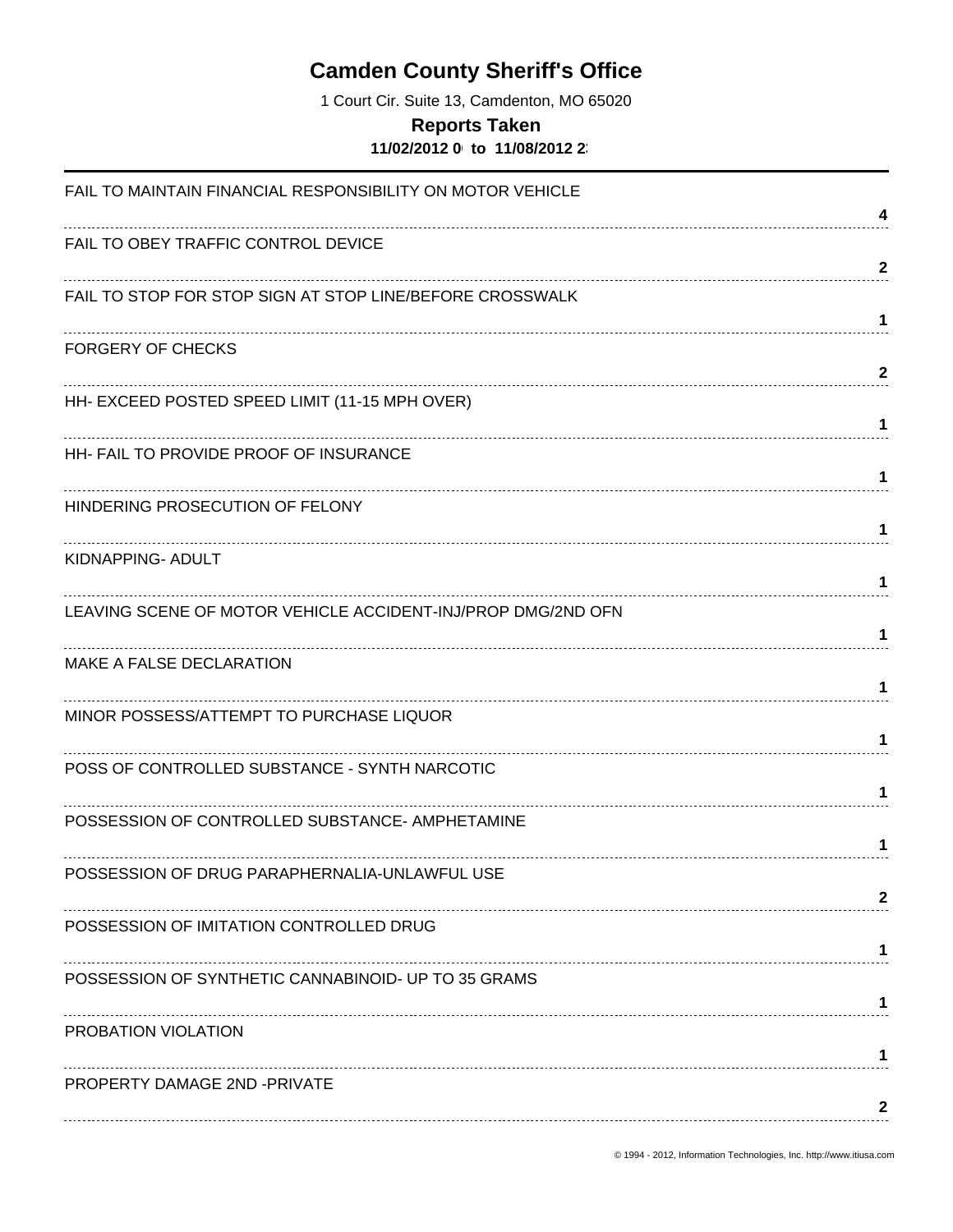# **Camden County Sheriff's Office**

1 Court Cir. Suite 13, Camdenton, MO 65020

#### **Reports Taken**

**11/02/2012 0 to 11/08/2012 23** 

| FAIL TO MAINTAIN FINANCIAL RESPONSIBILITY ON MOTOR VEHICLE   |              |
|--------------------------------------------------------------|--------------|
| FAIL TO OBEY TRAFFIC CONTROL DEVICE                          | 4            |
|                                                              | $\mathbf{2}$ |
| FAIL TO STOP FOR STOP SIGN AT STOP LINE/BEFORE CROSSWALK     | 1            |
| <b>FORGERY OF CHECKS</b>                                     |              |
|                                                              | $\mathbf{2}$ |
| HH- EXCEED POSTED SPEED LIMIT (11-15 MPH OVER)               |              |
| HH- FAIL TO PROVIDE PROOF OF INSURANCE                       | 1            |
|                                                              | 1            |
| HINDERING PROSECUTION OF FELONY                              |              |
|                                                              | 1            |
| KIDNAPPING- ADULT                                            | 1.           |
| LEAVING SCENE OF MOTOR VEHICLE ACCIDENT-INJ/PROP DMG/2ND OFN |              |
|                                                              | 1            |
| MAKE A FALSE DECLARATION                                     |              |
|                                                              | 1            |
| MINOR POSSESS/ATTEMPT TO PURCHASE LIQUOR                     |              |
|                                                              | 1            |
| POSS OF CONTROLLED SUBSTANCE - SYNTH NARCOTIC                |              |
| POSSESSION OF CONTROLLED SUBSTANCE- AMPHETAMINE              |              |
|                                                              | 1.           |
| POSSESSION OF DRUG PARAPHERNALIA-UNLAWFUL USE                |              |
|                                                              | 2            |
| POSSESSION OF IMITATION CONTROLLED DRUG                      | 1            |
| POSSESSION OF SYNTHETIC CANNABINOID- UP TO 35 GRAMS          |              |
|                                                              | 1            |
| PROBATION VIOLATION                                          |              |
|                                                              | 1            |
| PROPERTY DAMAGE 2ND -PRIVATE                                 | 2            |
|                                                              |              |